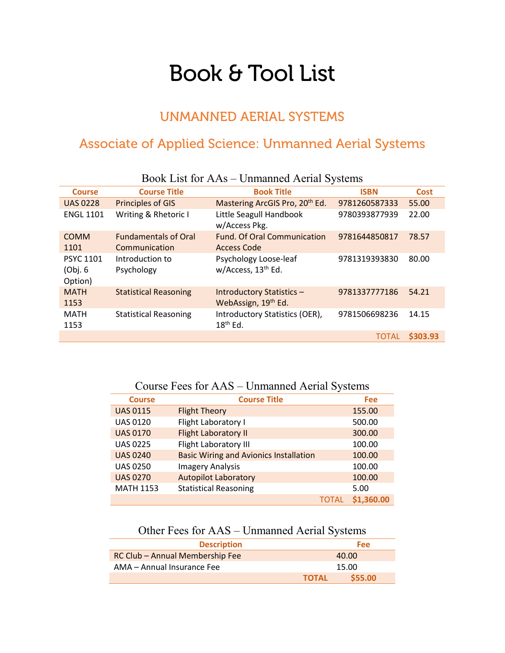# Book & Tool List

#### UNMANNED AERIAL SYSTEMS

### Associate of Applied Science: Unmanned Aerial Systems

| $1000 \text{K}$ Libe IVI <i>I</i> M IV<br>$\sigma$ <i>refugence internal <math>\sigma</math>, section</i> |                               |                                                         |               |             |
|-----------------------------------------------------------------------------------------------------------|-------------------------------|---------------------------------------------------------|---------------|-------------|
| <b>Course</b>                                                                                             | <b>Course Title</b>           | <b>Book Title</b>                                       | <b>ISBN</b>   | <b>Cost</b> |
| <b>UAS 0228</b>                                                                                           | <b>Principles of GIS</b>      | Mastering ArcGIS Pro, 20 <sup>th</sup> Ed.              | 9781260587333 | 55.00       |
| <b>ENGL 1101</b>                                                                                          | Writing & Rhetoric I          | Little Seagull Handbook<br>w/Access Pkg.                | 9780393877939 | 22.00       |
| <b>COMM</b>                                                                                               | <b>Fundamentals of Oral</b>   | <b>Fund. Of Oral Communication</b>                      | 9781644850817 | 78.57       |
| 1101                                                                                                      | Communication                 | Access Code                                             |               |             |
| <b>PSYC 1101</b><br>(Obj. 6)<br>Option)                                                                   | Introduction to<br>Psychology | Psychology Loose-leaf<br>w/Access, 13 <sup>th</sup> Ed. | 9781319393830 | 80.00       |
| <b>MATH</b><br>1153                                                                                       | <b>Statistical Reasoning</b>  | <b>Introductory Statistics -</b><br>WebAssign, 19th Ed. | 9781337777186 | 54.21       |
| <b>MATH</b><br>1153                                                                                       | <b>Statistical Reasoning</b>  | Introductory Statistics (OER),<br>$18th$ Ed.            | 9781506698236 | 14.15       |
|                                                                                                           |                               |                                                         | <b>TOTAL</b>  | \$303.93    |

Book List for AAs – Unmanned Aerial Systems

#### Course Fees for AAS – Unmanned Aerial Systems

| <b>Course</b>    | <b>Course Title</b>                           |              | <b>Fee</b> |
|------------------|-----------------------------------------------|--------------|------------|
| <b>UAS 0115</b>  | <b>Flight Theory</b>                          |              | 155.00     |
| <b>UAS 0120</b>  | Flight Laboratory I                           |              | 500.00     |
| <b>UAS 0170</b>  | <b>Flight Laboratory II</b>                   |              | 300.00     |
| <b>UAS 0225</b>  | <b>Flight Laboratory III</b>                  |              | 100.00     |
| <b>UAS 0240</b>  | <b>Basic Wiring and Avionics Installation</b> |              | 100.00     |
| <b>UAS 0250</b>  | <b>Imagery Analysis</b>                       |              | 100.00     |
| <b>UAS 0270</b>  | <b>Autopilot Laboratory</b>                   |              | 100.00     |
| <b>MATH 1153</b> | <b>Statistical Reasoning</b>                  |              | 5.00       |
|                  |                                               | <b>TOTAL</b> | \$1,360.00 |

Other Fees for AAS – Unmanned Aerial Systems

| <b>Description</b>                     |              | Fee:    |
|----------------------------------------|--------------|---------|
| <b>RC Club - Annual Membership Fee</b> |              | 40.00   |
| AMA - Annual Insurance Fee             |              | 15.00   |
|                                        | <b>TOTAL</b> | \$55.00 |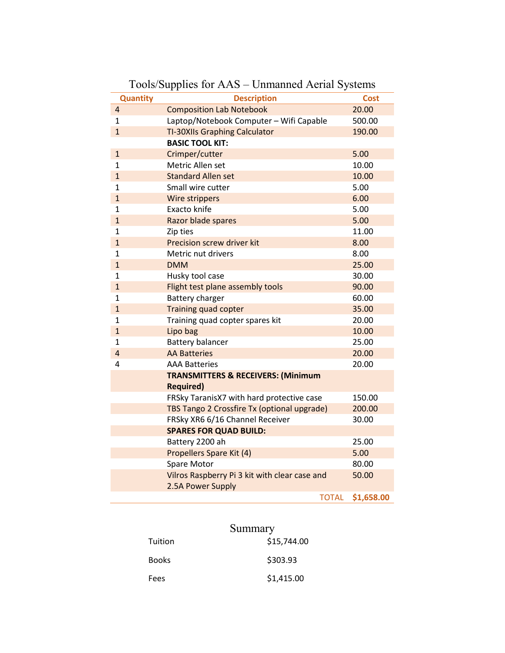| <b>Quantity</b> | <b>Description</b>                            | <b>Cost</b> |
|-----------------|-----------------------------------------------|-------------|
| 4               | <b>Composition Lab Notebook</b>               | 20.00       |
| 1               | Laptop/Notebook Computer - Wifi Capable       | 500.00      |
| $\mathbf{1}$    | <b>TI-30XIIs Graphing Calculator</b>          | 190.00      |
|                 | <b>BASIC TOOL KIT:</b>                        |             |
| $\mathbf{1}$    | Crimper/cutter                                | 5.00        |
| $\mathbf{1}$    | Metric Allen set                              | 10.00       |
| $\overline{1}$  | <b>Standard Allen set</b>                     | 10.00       |
| 1               | Small wire cutter                             | 5.00        |
| $\mathbf{1}$    | Wire strippers                                | 6.00        |
| $\mathbf{1}$    | Exacto knife                                  | 5.00        |
| $\overline{1}$  | Razor blade spares                            | 5.00        |
| $\mathbf{1}$    | Zip ties                                      | 11.00       |
| $\overline{1}$  | Precision screw driver kit                    | 8.00        |
| $\mathbf 1$     | Metric nut drivers                            | 8.00        |
| $\overline{1}$  | <b>DMM</b>                                    | 25.00       |
| $\mathbf{1}$    | Husky tool case                               | 30.00       |
| $\overline{1}$  | Flight test plane assembly tools              | 90.00       |
| $\mathbf 1$     | Battery charger                               | 60.00       |
| $\overline{1}$  | Training quad copter                          | 35.00       |
| $\mathbf 1$     | Training quad copter spares kit               | 20.00       |
| $\mathbf{1}$    | Lipo bag                                      | 10.00       |
| $\mathbf{1}$    | <b>Battery balancer</b>                       | 25.00       |
| $\overline{4}$  | <b>AA Batteries</b>                           | 20.00       |
| 4               | <b>AAA Batteries</b>                          | 20.00       |
|                 | <b>TRANSMITTERS &amp; RECEIVERS: (Minimum</b> |             |
|                 | <b>Required)</b>                              |             |
|                 | FRSky TaranisX7 with hard protective case     | 150.00      |
|                 | TBS Tango 2 Crossfire Tx (optional upgrade)   | 200.00      |
|                 | FRSky XR6 6/16 Channel Receiver               | 30.00       |
|                 | <b>SPARES FOR QUAD BUILD:</b>                 |             |
|                 | Battery 2200 ah                               | 25.00       |
|                 | Propellers Spare Kit (4)                      | 5.00        |
|                 | Spare Motor                                   | 80.00       |
|                 | Vilros Raspberry Pi 3 kit with clear case and | 50.00       |
|                 | 2.5A Power Supply                             |             |
|                 | <b>TOTAL</b>                                  | \$1,658.00  |

## Tools/Supplies for AAS – Unmanned Aerial Systems

|         | Summary     |
|---------|-------------|
| Tuition | \$15,744.00 |
| Books   | \$303.93    |
| Fees    | \$1,415.00  |